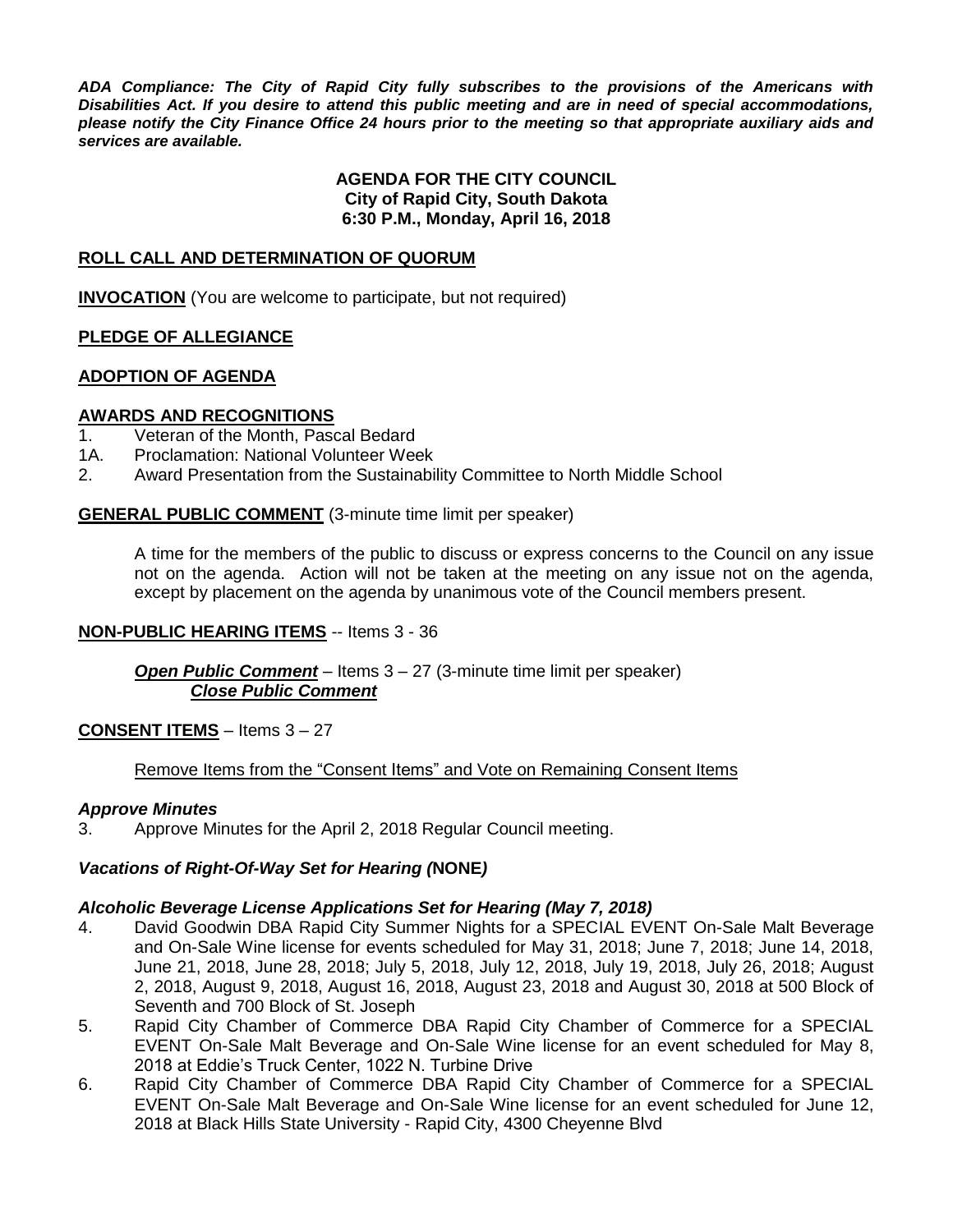*ADA Compliance: The City of Rapid City fully subscribes to the provisions of the Americans with Disabilities Act. If you desire to attend this public meeting and are in need of special accommodations, please notify the City Finance Office 24 hours prior to the meeting so that appropriate auxiliary aids and services are available.*

#### **AGENDA FOR THE CITY COUNCIL City of Rapid City, South Dakota 6:30 P.M., Monday, April 16, 2018**

#### **ROLL CALL AND DETERMINATION OF QUORUM**

**INVOCATION** (You are welcome to participate, but not required)

#### **PLEDGE OF ALLEGIANCE**

#### **ADOPTION OF AGENDA**

#### **AWARDS AND RECOGNITIONS**

- 1. Veteran of the Month, Pascal Bedard<br>1A. Proclamation: National Volunteer Wee
- Proclamation: National Volunteer Week
- 2. Award Presentation from the Sustainability Committee to North Middle School

#### **GENERAL PUBLIC COMMENT** (3-minute time limit per speaker)

A time for the members of the public to discuss or express concerns to the Council on any issue not on the agenda. Action will not be taken at the meeting on any issue not on the agenda, except by placement on the agenda by unanimous vote of the Council members present.

#### **NON-PUBLIC HEARING ITEMS** -- Items 3 - 36

*Open Public Comment* – Items 3 – 27 (3-minute time limit per speaker) *Close Public Comment*

#### **CONSENT ITEMS** – Items 3 – 27

#### Remove Items from the "Consent Items" and Vote on Remaining Consent Items

#### *Approve Minutes*

3. Approve Minutes for the April 2, 2018 Regular Council meeting.

#### *Vacations of Right-Of-Way Set for Hearing (***NONE***)*

#### *Alcoholic Beverage License Applications Set for Hearing (May 7, 2018)*

- 4. David Goodwin DBA Rapid City Summer Nights for a SPECIAL EVENT On-Sale Malt Beverage and On-Sale Wine license for events scheduled for May 31, 2018; June 7, 2018; June 14, 2018, June 21, 2018, June 28, 2018; July 5, 2018, July 12, 2018, July 19, 2018, July 26, 2018; August 2, 2018, August 9, 2018, August 16, 2018, August 23, 2018 and August 30, 2018 at 500 Block of Seventh and 700 Block of St. Joseph
- 5. Rapid City Chamber of Commerce DBA Rapid City Chamber of Commerce for a SPECIAL EVENT On-Sale Malt Beverage and On-Sale Wine license for an event scheduled for May 8, 2018 at Eddie's Truck Center, 1022 N. Turbine Drive
- 6. Rapid City Chamber of Commerce DBA Rapid City Chamber of Commerce for a SPECIAL EVENT On-Sale Malt Beverage and On-Sale Wine license for an event scheduled for June 12, 2018 at Black Hills State University - Rapid City, 4300 Cheyenne Blvd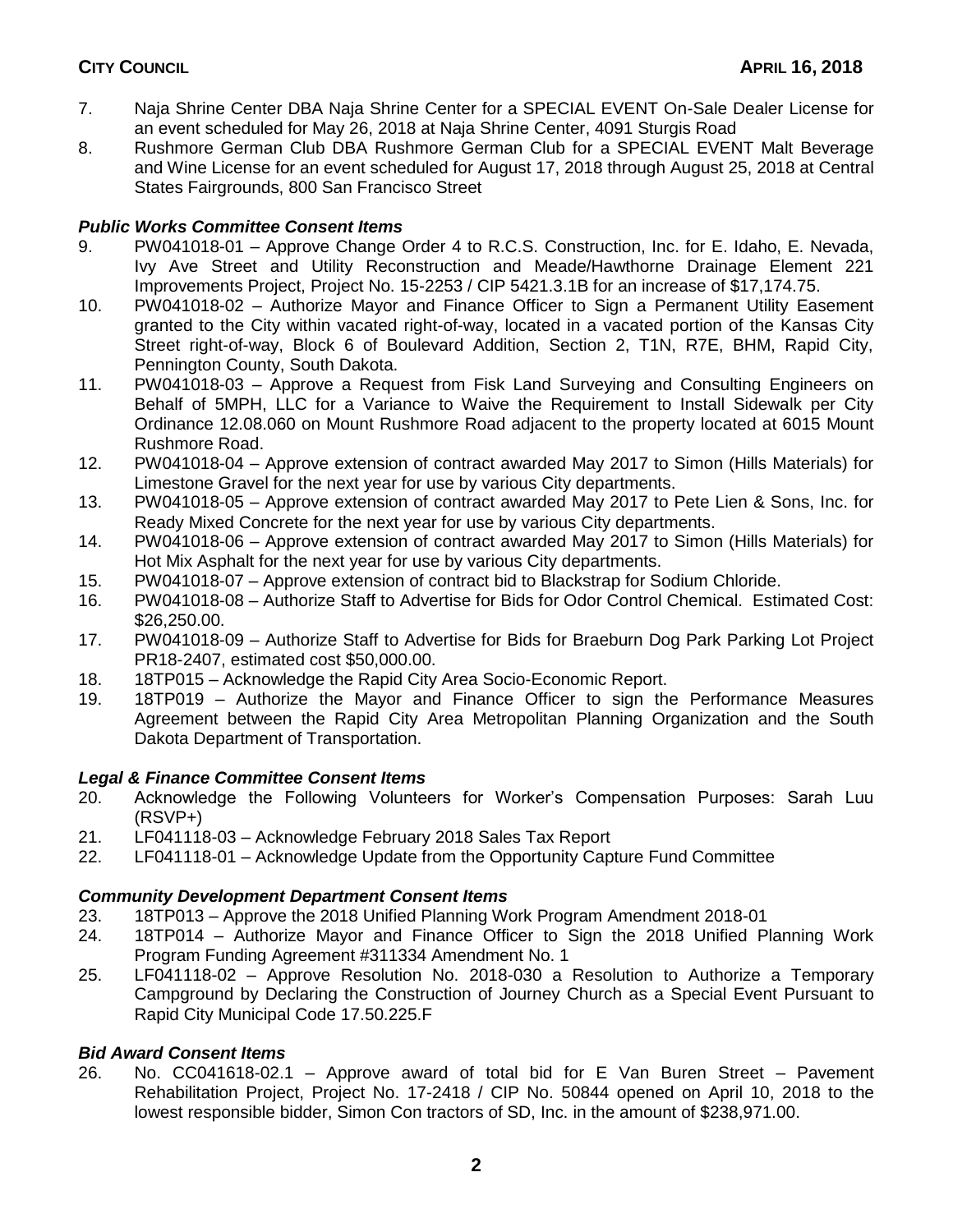- 7. Naja Shrine Center DBA Naja Shrine Center for a SPECIAL EVENT On-Sale Dealer License for an event scheduled for May 26, 2018 at Naja Shrine Center, 4091 Sturgis Road
- 8. Rushmore German Club DBA Rushmore German Club for a SPECIAL EVENT Malt Beverage and Wine License for an event scheduled for August 17, 2018 through August 25, 2018 at Central States Fairgrounds, 800 San Francisco Street

# *Public Works Committee Consent Items*

- 9. PW041018-01 Approve Change Order 4 to R.C.S. Construction, Inc. for E. Idaho, E. Nevada, Ivy Ave Street and Utility Reconstruction and Meade/Hawthorne Drainage Element 221 Improvements Project, Project No. 15-2253 / CIP 5421.3.1B for an increase of \$17,174.75.
- 10. PW041018-02 Authorize Mayor and Finance Officer to Sign a Permanent Utility Easement granted to the City within vacated right-of-way, located in a vacated portion of the Kansas City Street right-of-way, Block 6 of Boulevard Addition, Section 2, T1N, R7E, BHM, Rapid City, Pennington County, South Dakota.
- 11. PW041018-03 Approve a Request from Fisk Land Surveying and Consulting Engineers on Behalf of 5MPH, LLC for a Variance to Waive the Requirement to Install Sidewalk per City Ordinance 12.08.060 on Mount Rushmore Road adjacent to the property located at 6015 Mount Rushmore Road.
- 12. PW041018-04 Approve extension of contract awarded May 2017 to Simon (Hills Materials) for Limestone Gravel for the next year for use by various City departments.
- 13. PW041018-05 Approve extension of contract awarded May 2017 to Pete Lien & Sons, Inc. for Ready Mixed Concrete for the next year for use by various City departments.
- 14. PW041018-06 Approve extension of contract awarded May 2017 to Simon (Hills Materials) for Hot Mix Asphalt for the next year for use by various City departments.
- 15. PW041018-07 Approve extension of contract bid to Blackstrap for Sodium Chloride.
- 16. PW041018-08 Authorize Staff to Advertise for Bids for Odor Control Chemical. Estimated Cost: \$26,250.00.
- 17. PW041018-09 Authorize Staff to Advertise for Bids for Braeburn Dog Park Parking Lot Project PR18-2407, estimated cost \$50,000.00.
- 18. 18TP015 Acknowledge the Rapid City Area Socio-Economic Report.
- 19. 18TP019 Authorize the Mayor and Finance Officer to sign the Performance Measures Agreement between the Rapid City Area Metropolitan Planning Organization and the South Dakota Department of Transportation.

# *Legal & Finance Committee Consent Items*

- 20. Acknowledge the Following Volunteers for Worker's Compensation Purposes: Sarah Luu (RSVP+)
- 21. LF041118-03 Acknowledge February 2018 Sales Tax Report
- 22. LF041118-01 Acknowledge Update from the Opportunity Capture Fund Committee

# *Community Development Department Consent Items*

- 23. 18TP013 Approve the 2018 Unified Planning Work Program Amendment 2018-01
- 24. 18TP014 Authorize Mayor and Finance Officer to Sign the 2018 Unified Planning Work Program Funding Agreement #311334 Amendment No. 1
- 25. LF041118-02 Approve Resolution No. 2018-030 a Resolution to Authorize a Temporary Campground by Declaring the Construction of Journey Church as a Special Event Pursuant to Rapid City Municipal Code 17.50.225.F

# *Bid Award Consent Items*

26. No. CC041618-02.1 – Approve award of total bid for E Van Buren Street – Pavement Rehabilitation Project, Project No. 17-2418 / CIP No. 50844 opened on April 10, 2018 to the lowest responsible bidder, Simon Con tractors of SD, Inc. in the amount of \$238,971.00.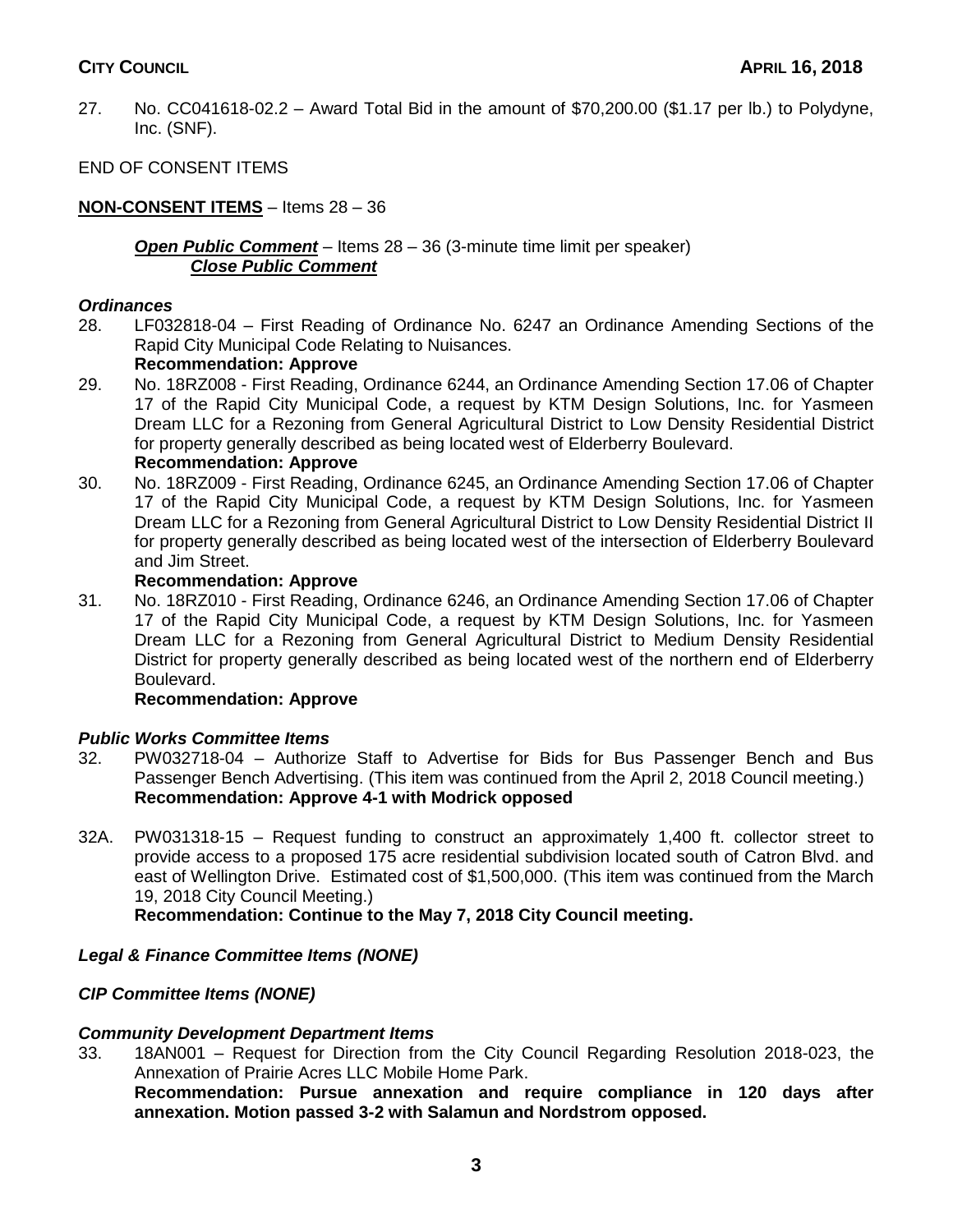27. No. CC041618-02.2 – Award Total Bid in the amount of \$70,200.00 (\$1.17 per lb.) to Polydyne, Inc. (SNF).

# END OF CONSENT ITEMS

# **NON-CONSENT ITEMS** – Items 28 – 36

#### *Open Public Comment* – Items 28 – 36 (3-minute time limit per speaker) *Close Public Comment*

## *Ordinances*

28. LF032818-04 – First Reading of Ordinance No. 6247 an Ordinance Amending Sections of the Rapid City Municipal Code Relating to Nuisances.

## **Recommendation: Approve**

- 29. No. 18RZ008 First Reading, Ordinance 6244, an Ordinance Amending Section 17.06 of Chapter 17 of the Rapid City Municipal Code, a request by KTM Design Solutions, Inc. for Yasmeen Dream LLC for a Rezoning from General Agricultural District to Low Density Residential District for property generally described as being located west of Elderberry Boulevard. **Recommendation: Approve**
- 30. No. 18RZ009 First Reading, Ordinance 6245, an Ordinance Amending Section 17.06 of Chapter 17 of the Rapid City Municipal Code, a request by KTM Design Solutions, Inc. for Yasmeen Dream LLC for a Rezoning from General Agricultural District to Low Density Residential District II for property generally described as being located west of the intersection of Elderberry Boulevard and Jim Street.

#### **Recommendation: Approve**

31. No. 18RZ010 - First Reading, Ordinance 6246, an Ordinance Amending Section 17.06 of Chapter 17 of the Rapid City Municipal Code, a request by KTM Design Solutions, Inc. for Yasmeen Dream LLC for a Rezoning from General Agricultural District to Medium Density Residential District for property generally described as being located west of the northern end of Elderberry Boulevard.

## **Recommendation: Approve**

## *Public Works Committee Items*

- 32. PW032718-04 Authorize Staff to Advertise for Bids for Bus Passenger Bench and Bus Passenger Bench Advertising. (This item was continued from the April 2, 2018 Council meeting.) **Recommendation: Approve 4-1 with Modrick opposed**
- 32A. PW031318-15 Request funding to construct an approximately 1,400 ft. collector street to provide access to a proposed 175 acre residential subdivision located south of Catron Blvd. and east of Wellington Drive. Estimated cost of \$1,500,000. (This item was continued from the March 19, 2018 City Council Meeting.)

**Recommendation: Continue to the May 7, 2018 City Council meeting.**

# *Legal & Finance Committee Items (NONE)*

## *CIP Committee Items (NONE)*

## *Community Development Department Items*

33. 18AN001 – Request for Direction from the City Council Regarding Resolution 2018-023, the Annexation of Prairie Acres LLC Mobile Home Park.

**Recommendation: Pursue annexation and require compliance in 120 days after annexation. Motion passed 3-2 with Salamun and Nordstrom opposed.**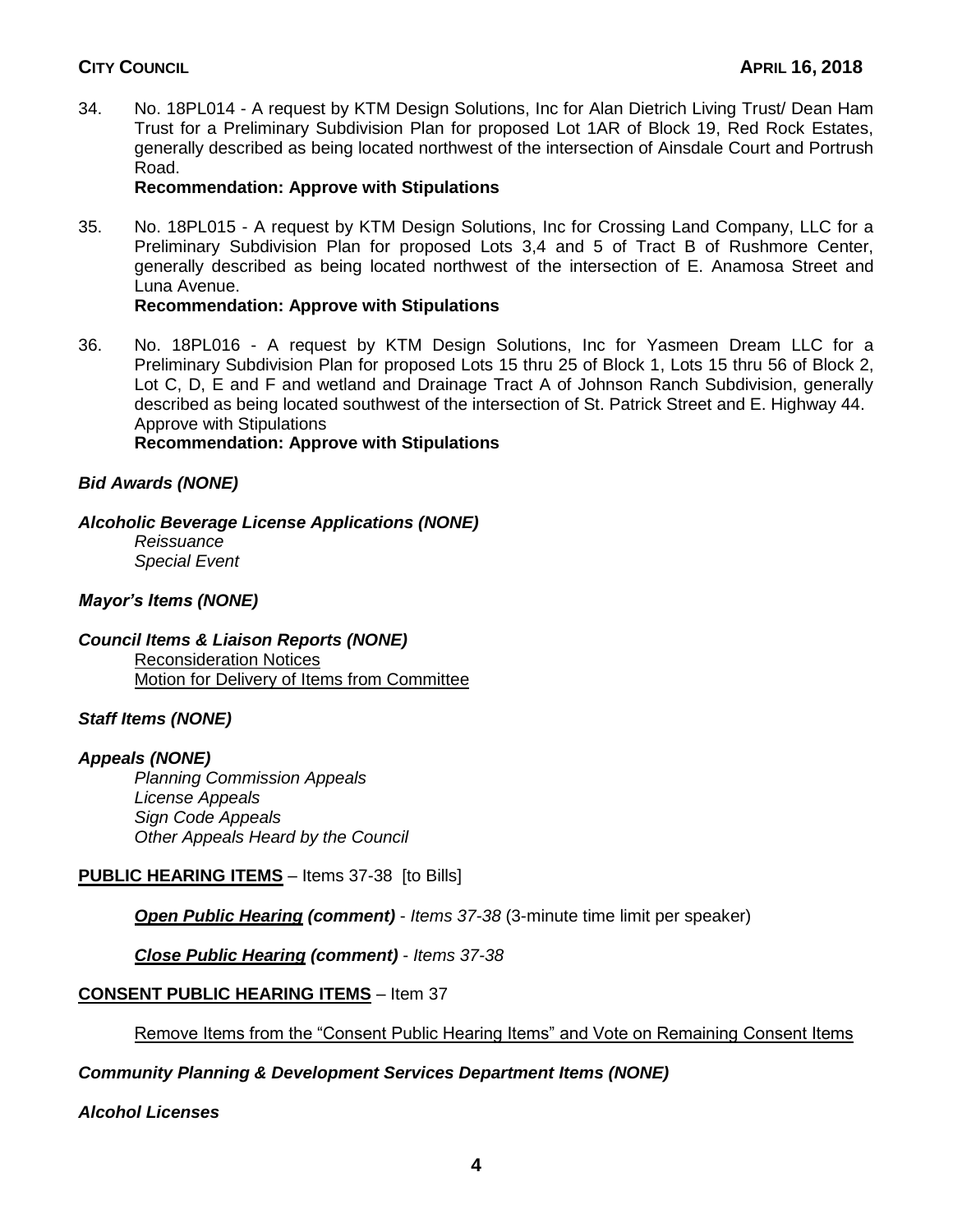34. No. 18PL014 - A request by KTM Design Solutions, Inc for Alan Dietrich Living Trust/ Dean Ham Trust for a Preliminary Subdivision Plan for proposed Lot 1AR of Block 19, Red Rock Estates, generally described as being located northwest of the intersection of Ainsdale Court and Portrush Road.

## **Recommendation: Approve with Stipulations**

35. No. 18PL015 - A request by KTM Design Solutions, Inc for Crossing Land Company, LLC for a Preliminary Subdivision Plan for proposed Lots 3,4 and 5 of Tract B of Rushmore Center, generally described as being located northwest of the intersection of E. Anamosa Street and Luna Avenue.

## **Recommendation: Approve with Stipulations**

36. No. 18PL016 - A request by KTM Design Solutions, Inc for Yasmeen Dream LLC for a Preliminary Subdivision Plan for proposed Lots 15 thru 25 of Block 1, Lots 15 thru 56 of Block 2, Lot C, D, E and F and wetland and Drainage Tract A of Johnson Ranch Subdivision, generally described as being located southwest of the intersection of St. Patrick Street and E. Highway 44. Approve with Stipulations **Recommendation: Approve with Stipulations**

# *Bid Awards (NONE)*

## *Alcoholic Beverage License Applications (NONE)*

*Reissuance Special Event*

## *Mayor's Items (NONE)*

## *Council Items & Liaison Reports (NONE)*

Reconsideration Notices Motion for Delivery of Items from Committee

## *Staff Items (NONE)*

## *Appeals (NONE)*

*Planning Commission Appeals License Appeals Sign Code Appeals Other Appeals Heard by the Council*

# **PUBLIC HEARING ITEMS** – Items 37-38 [to Bills]

*Open Public Hearing (comment)* - *Items 37-38* (3-minute time limit per speaker)

*Close Public Hearing (comment)* - *Items 37-38*

## **CONSENT PUBLIC HEARING ITEMS** – Item 37

## Remove Items from the "Consent Public Hearing Items" and Vote on Remaining Consent Items

# *Community Planning & Development Services Department Items (NONE)*

# *Alcohol Licenses*